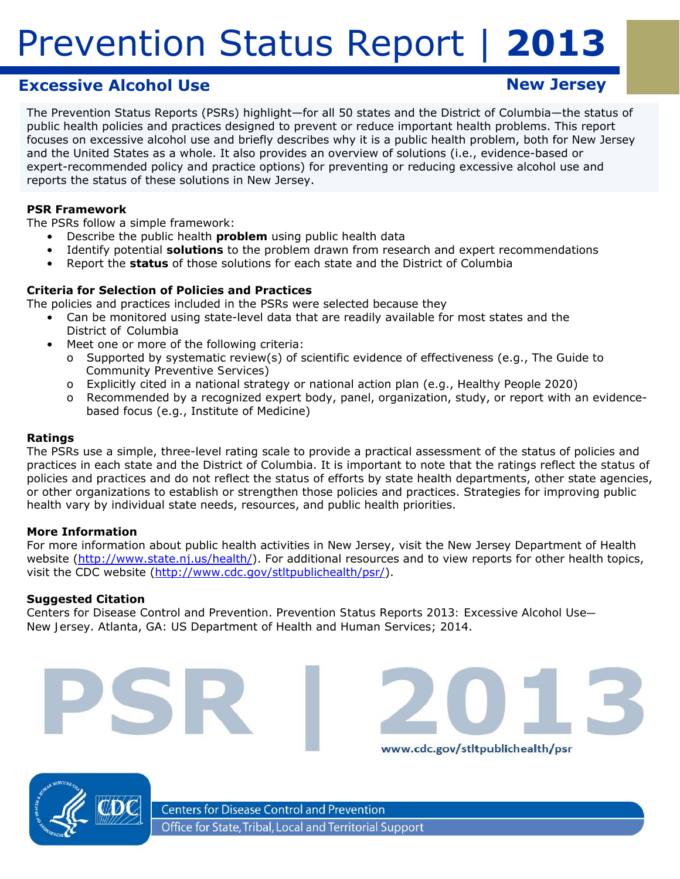# **Excessive Alcohol Use New Jersey**

The Prevention Status Reports (PSRs) highlight—for all 50 states and the District of Columbia—the status of public health policies and practices designed to prevent or reduce important health problems. This report focuses on excessive alcohol use and briefly describes why it is a public health problem, both for New Jersey and the United States as a whole. It also provides an overview of solutions (i.e., evidence-based or expert-recommended policy and practice options) for preventing or reducing excessive alcohol use and reports the status of these solutions in New Jersey.

#### **PSR Framework**

The PSRs follow a simple framework:

- Describe the public health *problem* using public health data
	- Identify potential *solutions* to the problem drawn from research and expert recommendations
- • Report the *status* of those solutions for each state and the District of Columbia

#### **Criteria for Selection of Policies and Practices**

The policies and practices included in the PSRs were selected because they

- Can be monitored using state-level data that are readily available for most states and the District of Columbia
	- Meet one or more of the following criteria:
		- o Supported by systematic review(s) of scientific evidence of effectiveness (e.g., *The Guide to Community Preventive Services*)
		- o Explicitly cited in a national strategy or national action plan (e.g., *Healthy People 2020*)
		- o Recommended by a recognized expert body, panel, organization, study, or report with an evidencebased focus (e.g., Institute of Medicine)

#### **Ratings**

The PSRs use a simple, three-level rating scale to provide a practical assessment of the status of policies and practices in each state and the District of Columbia. It is important to note that the ratings reflect the *status of policies and practices* and do not reflect the *status of efforts* by state health departments, other state agencies, or other organizations to establish or strengthen those policies and practices. Strategies for improving public health vary by individual state needs, resources, and public health priorities.

#### **More Information**

For more information about public health activities in New Jersey, visit the New Jersey Department of Health website (http://www.state.nj.us/health/). For additional resources and to view reports for other health topics, visit the CDC website (http://www.cdc.gov/stltpublichealth/psr/).

www.cdc.gov/stltpublichealth/psr

#### **Suggested Citation**

Centers for Disease Control and Prevention. *Prevention Status Reports 2013: Excessive Alcohol Use— New Jersey*. Atlanta, GA: US Department of Health and Human Services; 2014.



**Centers for Disease Control and Prevention** Office for State, Tribal, Local and Territorial Support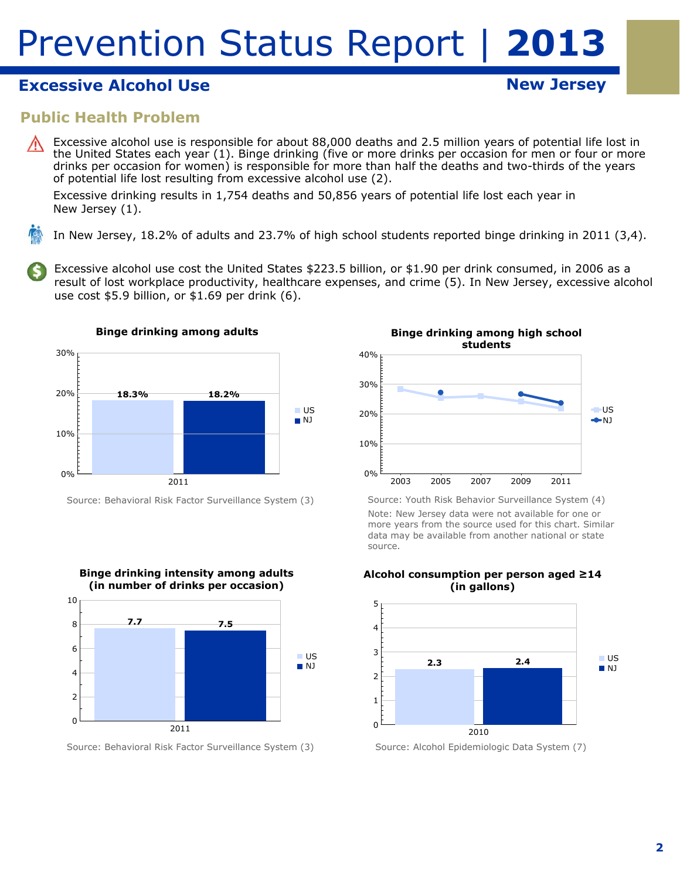# **Excessive Alcohol Use New Jersey Alcohol Use New Jersey**

### **Public Health Problem**

Excessive alcohol use is responsible for about 88,000 deaths and 2.5 million years of potential life lost in the United States each year (1). Binge drinking (five or more drinks per occasion for men or four or more drinks per occasion for women) is responsible for more than half the deaths and two-thirds of the years of potential life lost resulting from excessive alcohol use (2).

Excessive drinking results in 1,754 deaths and 50,856 years of potential life lost each year in New Jersey (1).

In New Jersey, 18.2% of adults and 23.7% of high school students reported binge drinking in 2011 (3,4).

Excessive alcohol use cost the United States \$223.5 billion, or \$1.90 per drink consumed, in 2006 as a result of lost workplace productivity, healthcare expenses, and crime (5). In New Jersey, excessive alcohol use cost \$5.9 billion, or \$1.69 per drink (6).



Source: Behavioral Risk Factor Surveillance System (3)



Source: Behavioral Risk Factor Surveillance System (3)



Source: Youth Risk Behavior Surveillance System (4) Note: New Jersey data were not available for one or more years from the source used for this chart. Similar data may be available from another national or state source.



**Alcohol consumption per person aged ≥14 (in gallons)** 

Source: Alcohol Epidemiologic Data System (7)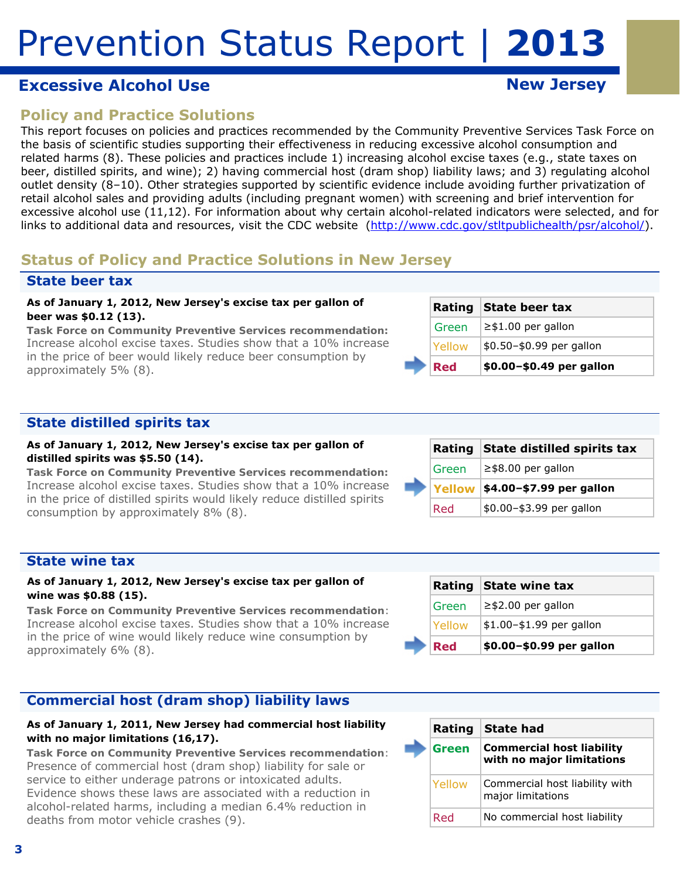# **Excessive Alcohol Use New Jersey Accessive Alcohol Use**

# **Policy and Practice Solutions**

This report focuses on policies and practices recommended by the Community Preventive Services Task Force on the basis of scientific studies supporting their effectiveness in reducing excessive alcohol consumption and related harms (8). These policies and practices include 1) increasing alcohol excise taxes (e.g., state taxes on beer, distilled spirits, and wine); 2) having commercial host (dram shop) liability laws; and 3) regulating alcohol outlet density (8–10). Other strategies supported by scientific evidence include avoiding further privatization of retail alcohol sales and providing adults (including pregnant women) with screening and brief intervention for excessive alcohol use (11,12). For information about why certain alcohol-related indicators were selected, and for links to additional data and resources, visit the CDC website (http://www.cdc.gov/stltpublichealth/psr/alcohol/).

# **Status of Policy and Practice Solutions in New Jersey**

### **State beer tax**

#### **As of January 1, 2012, New Jersey's excise tax per gallon of beer was \$0.12 (13).**

*Task Force on Community Preventive Services recommendation:*  Increase alcohol excise taxes. Studies show that a 10% increase in the price of beer would likely reduce beer consumption by approximately 5% (8).

|            | Rating State beer tax    |
|------------|--------------------------|
| Green      | $\geq$ \$1.00 per gallon |
| Yellow     | \$0.50-\$0.99 per gallon |
| <b>Red</b> | \$0.00-\$0.49 per gallon |

### **State distilled spirits tax**

#### **As of January 1, 2012, New Jersey's excise tax per gallon of distilled spirits was \$5.50 (14).**

*Task Force on Community Preventive Services recommendation:*  Increase alcohol excise taxes. Studies show that a 10% increase in the price of distilled spirits would likely reduce distilled spirits consumption by approximately 8% (8).

|  |       | Rating State distilled spirits tax |
|--|-------|------------------------------------|
|  | Green | $\ge$ \$8.00 per gallon            |
|  |       | Yellow   \$4.00-\$7.99 per gallon  |
|  | Red   | \$0.00-\$3.99 per gallon           |

#### **State wine tax**

#### **As of January 1, 2012, New Jersey's excise tax per gallon of wine was \$0.88 (15).**

*Task Force on Community Preventive Services recommendation*: Increase alcohol excise taxes. Studies show that a 10% increase in the price of wine would likely reduce wine consumption by approximately 6% (8).

### **Commercial host (dram shop) liability laws**

#### **As of January 1, 2011, New Jersey had commercial host liability with no major limitations (16,17).**

*Task Force on Community Preventive Services recommendation*: Presence of commercial host (dram shop) liability for sale or service to either underage patrons or intoxicated adults. Evidence shows these laws are associated with a reduction in alcohol-related harms, including a median 6.4% reduction in deaths from motor vehicle crashes (9).

|        | Rating State wine tax    |
|--------|--------------------------|
| Green  | $\ge$ \$2.00 per gallon  |
| Yellow | \$1.00-\$1.99 per gallon |
| Red    | \$0.00-\$0.99 per gallon |

| Rating        | <b>State had</b>                                              |
|---------------|---------------------------------------------------------------|
| Green         | <b>Commercial host liability</b><br>with no major limitations |
| <b>Yellow</b> | Commercial host liability with<br>major limitations           |
| Red           | No commercial host liability                                  |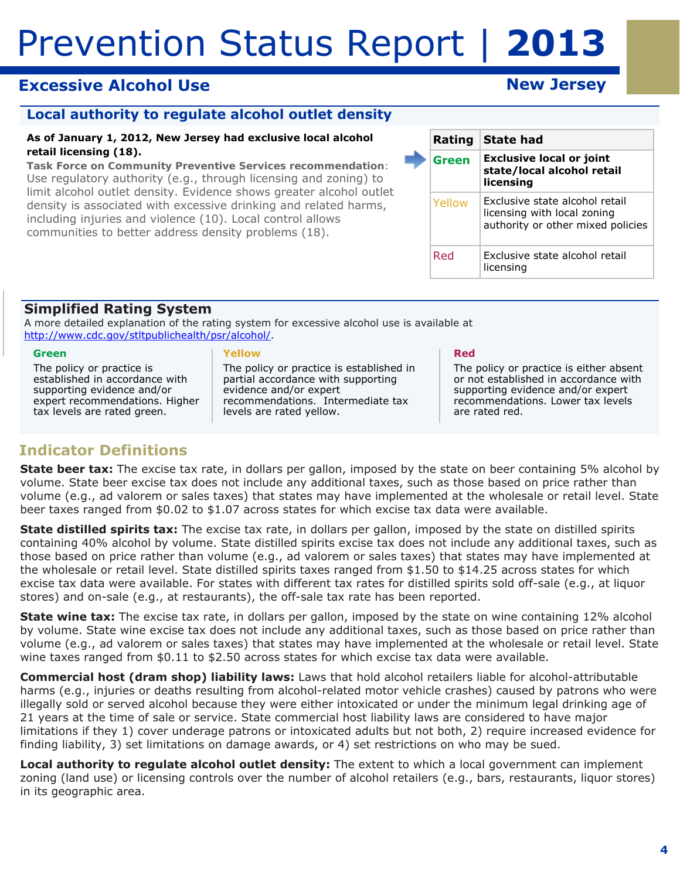# **Excessive Alcohol Use New Jersey Accord Excessive Alcohol Use**

### **Local authority to regulate alcohol outlet density**

#### **As of January 1, 2012, New Jersey had exclusive local alcohol retail licensing (18).**

*Task Force on Community Preventive Services recommendation*: Use regulatory authority (e.g., through licensing and zoning) to limit alcohol outlet density. Evidence shows greater alcohol outlet density is associated with excessive drinking and related harms, including injuries and violence (10). Local control allows communities to better address density problems (18).

|  | Rating | <b>State had</b>                                                                                   |  |
|--|--------|----------------------------------------------------------------------------------------------------|--|
|  | Green  | <b>Exclusive local or joint</b><br>state/local alcohol retail<br>licensing                         |  |
|  | Yellow | Exclusive state alcohol retail<br>licensing with local zoning<br>authority or other mixed policies |  |
|  | Red    | Exclusive state alcohol retail<br>licensing                                                        |  |

### **Simplified Rating System**

A more detailed explanation of the rating system for excessive alcohol use is available at http://www.cdc.gov/stltpublichealth/psr/alcohol/.

#### **Green**

The policy or practice is established in accordance with supporting evidence and/or expert recommendations. Higher tax levels are rated green.

#### **Yellow**

The policy or practice is established in partial accordance with supporting evidence and/or expert recommendations. Intermediate tax levels are rated yellow.

#### **Red**

The policy or practice is either absent or not established in accordance with supporting evidence and/or expert recommendations. Lower tax levels are rated red.

# **Indicator Definitions**

**State beer tax:** The excise tax rate, in dollars per gallon, imposed by the state on beer containing 5% alcohol by volume. State beer excise tax does not include any additional taxes, such as those based on price rather than volume (e.g., ad valorem or sales taxes) that states may have implemented at the wholesale or retail level. State beer taxes ranged from \$0.02 to \$1.07 across states for which excise tax data were available.

**State distilled spirits tax:** The excise tax rate, in dollars per gallon, imposed by the state on distilled spirits containing 40% alcohol by volume. State distilled spirits excise tax does not include any additional taxes, such as those based on price rather than volume (e.g., ad valorem or sales taxes) that states may have implemented at the wholesale or retail level. State distilled spirits taxes ranged from \$1.50 to \$14.25 across states for which excise tax data were available. For states with different tax rates for distilled spirits sold off-sale (e.g., at liquor stores) and on-sale (e.g., at restaurants), the off-sale tax rate has been reported.

**State wine tax:** The excise tax rate, in dollars per gallon, imposed by the state on wine containing 12% alcohol by volume. State wine excise tax does not include any additional taxes, such as those based on price rather than volume (e.g., ad valorem or sales taxes) that states may have implemented at the wholesale or retail level. State wine taxes ranged from \$0.11 to \$2.50 across states for which excise tax data were available.

**Commercial host (dram shop) liability laws:** Laws that hold alcohol retailers liable for alcohol-attributable harms (e.g., injuries or deaths resulting from alcohol-related motor vehicle crashes) caused by patrons who were illegally sold or served alcohol because they were either intoxicated or under the minimum legal drinking age of 21 years at the time of sale or service. State commercial host liability laws are considered to have major limitations if they 1) cover underage patrons or intoxicated adults but not both, 2) require increased evidence for finding liability, 3) set limitations on damage awards, or 4) set restrictions on who may be sued.

 in its geographic area. **Local authority to regulate alcohol outlet density:** The extent to which a local government can implement zoning (land use) or licensing controls over the number of alcohol retailers (e.g., bars, restaurants, liquor stores)